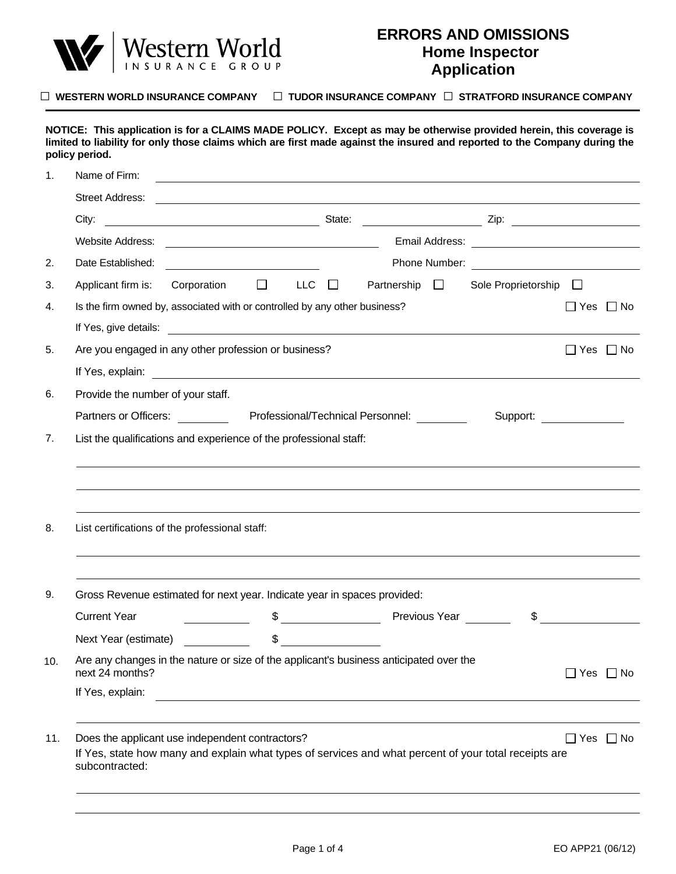

## **ERRORS AND OMISSIONS Home Inspector Application**

□ **WESTERN WORLD INSURANCE COMPANY** □ **TUDOR INSURANCE COMPANY** □ **STRATFORD INSURANCE COMPANY**

|  | Name of Firm:                                                                                             | <u> 1989 - Johann Barn, fransk politik amerikansk politik (d. 1989)</u> |            |                                                                                                                       |                            |                      |  |
|--|-----------------------------------------------------------------------------------------------------------|-------------------------------------------------------------------------|------------|-----------------------------------------------------------------------------------------------------------------------|----------------------------|----------------------|--|
|  |                                                                                                           |                                                                         |            |                                                                                                                       |                            |                      |  |
|  |                                                                                                           |                                                                         |            |                                                                                                                       |                            |                      |  |
|  |                                                                                                           |                                                                         |            |                                                                                                                       |                            |                      |  |
|  |                                                                                                           |                                                                         |            |                                                                                                                       |                            |                      |  |
|  | Applicant firm is: Corporation $\square$                                                                  |                                                                         | LLC $\Box$ | Partnership $\Box$                                                                                                    | Sole Proprietorship $\Box$ |                      |  |
|  | Is the firm owned by, associated with or controlled by any other business?                                |                                                                         |            |                                                                                                                       |                            | $\Box$ Yes $\Box$ No |  |
|  |                                                                                                           |                                                                         |            |                                                                                                                       |                            |                      |  |
|  | Are you engaged in any other profession or business?                                                      |                                                                         |            |                                                                                                                       |                            | $\Box$ Yes $\Box$ No |  |
|  |                                                                                                           |                                                                         |            |                                                                                                                       |                            |                      |  |
|  | Provide the number of your staff.                                                                         |                                                                         |            |                                                                                                                       |                            |                      |  |
|  | Partners or Officers: ____________ Professional/Technical Personnel: __________                           |                                                                         |            |                                                                                                                       | Support:                   |                      |  |
|  |                                                                                                           |                                                                         |            |                                                                                                                       |                            |                      |  |
|  |                                                                                                           |                                                                         |            |                                                                                                                       |                            |                      |  |
|  | List certifications of the professional staff:                                                            |                                                                         |            |                                                                                                                       |                            |                      |  |
|  | Gross Revenue estimated for next year. Indicate year in spaces provided:                                  |                                                                         |            |                                                                                                                       |                            |                      |  |
|  |                                                                                                           |                                                                         |            |                                                                                                                       | $\frac{1}{2}$              |                      |  |
|  | Next Year (estimate)                                                                                      |                                                                         | $\sim$     |                                                                                                                       |                            |                      |  |
|  | Are any changes in the nature or size of the applicant's business anticipated over the<br>next 24 months? |                                                                         |            |                                                                                                                       |                            | $\Box$ Yes $\Box$ No |  |
|  | If Yes, explain:                                                                                          |                                                                         |            | <u> 1989 - Johann John Stein, markin fyrir yr ymgystaf y bywysig ymgystaf y gynnys y gynnys y gynnys y gynnys y g</u> |                            |                      |  |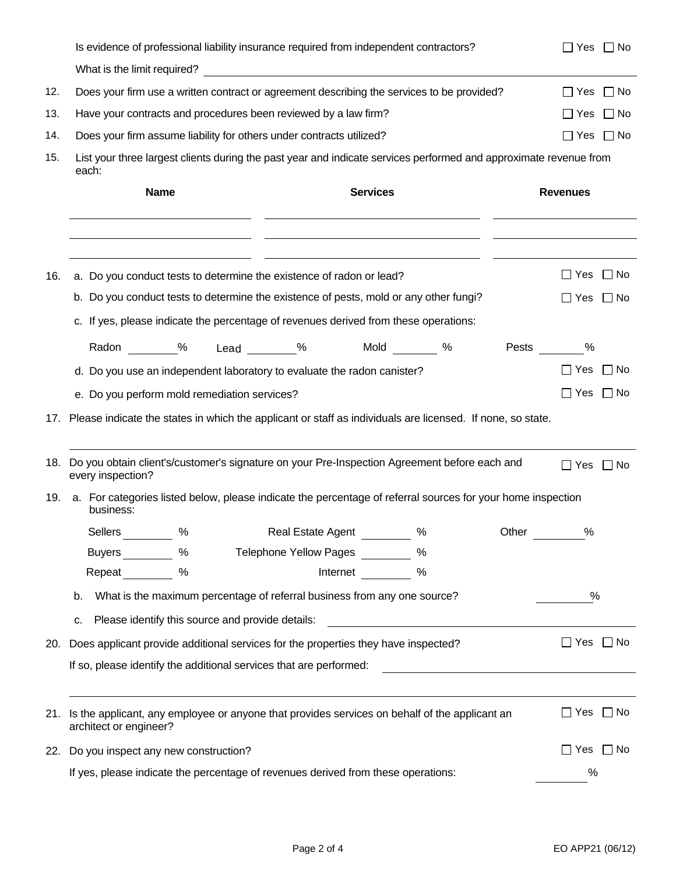|     | Is evidence of professional liability insurance required from independent contractors?                                     | $\Box$ Yes $\Box$ No    |
|-----|----------------------------------------------------------------------------------------------------------------------------|-------------------------|
|     |                                                                                                                            |                         |
| 12. | Does your firm use a written contract or agreement describing the services to be provided?                                 | $\Box$ No<br>$\Box$ Yes |
| 13. | Have your contracts and procedures been reviewed by a law firm?                                                            | $\Box$ No<br>$\Box$ Yes |
| 14. | Does your firm assume liability for others under contracts utilized?                                                       | $\Box$ Yes $\Box$ No    |
| 15. | List your three largest clients during the past year and indicate services performed and approximate revenue from<br>each: |                         |
|     | <b>Name</b><br><b>Services</b>                                                                                             | <b>Revenues</b>         |
|     |                                                                                                                            |                         |
| 16. | a. Do you conduct tests to determine the existence of radon or lead?                                                       | $\Box$ Yes $\Box$ No    |
|     | b. Do you conduct tests to determine the existence of pests, mold or any other fungi?                                      | $\Box$ Yes $\Box$ No    |
|     | c. If yes, please indicate the percentage of revenues derived from these operations:                                       |                         |
|     | Radon 9% Lead 9% Mold 9%                                                                                                   | Pests ______ %          |
|     | d. Do you use an independent laboratory to evaluate the radon canister?                                                    | ∐ Yes<br>$\Box$ No      |
|     | e. Do you perform mold remediation services?                                                                               | $\Box$ Yes<br>$\Box$ No |
| 17. | Please indicate the states in which the applicant or staff as individuals are licensed. If none, so state.                 |                         |
| 18. | Do you obtain client's/customer's signature on your Pre-Inspection Agreement before each and<br>every inspection?          | $\Box$ Yes $\Box$ No    |
| 19. | a. For categories listed below, please indicate the percentage of referral sources for your home inspection<br>business:   |                         |
|     | Real Estate Agent<br>$\%$<br>Sellers %<br>Other                                                                            | %                       |
|     | Buyers _________ %<br>Telephone Yellow Pages %                                                                             |                         |
|     | Repeat<br>%<br>Internet<br>%                                                                                               |                         |
|     | What is the maximum percentage of referral business from any one source?<br>b.                                             | %                       |
|     |                                                                                                                            |                         |
|     | Please identify this source and provide details:<br>c.                                                                     |                         |
| 20. | Does applicant provide additional services for the properties they have inspected?                                         | $\Box$ Yes $\Box$ No    |
|     | If so, please identify the additional services that are performed:                                                         |                         |
| 21. | Is the applicant, any employee or anyone that provides services on behalf of the applicant an<br>architect or engineer?    | $\Box$ No<br>∐ Yes      |
| 22. | Do you inspect any new construction?                                                                                       | $\Box$ Yes<br>$\Box$ No |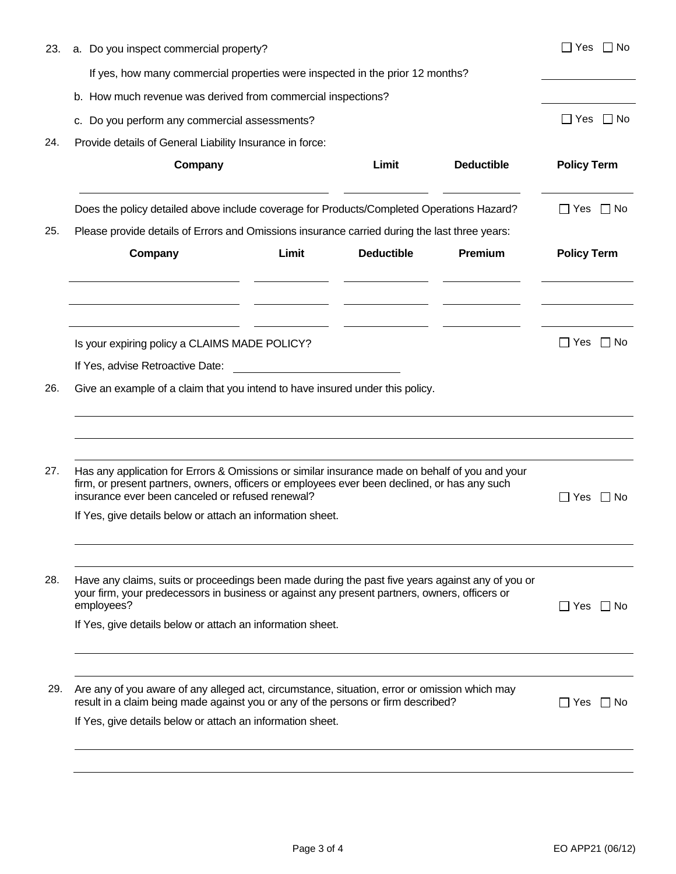| 23. | a. Do you inspect commercial property?                                                                                                                                                                          | ∏Yes ∏No                                 |
|-----|-----------------------------------------------------------------------------------------------------------------------------------------------------------------------------------------------------------------|------------------------------------------|
|     | If yes, how many commercial properties were inspected in the prior 12 months?                                                                                                                                   |                                          |
|     | b. How much revenue was derived from commercial inspections?                                                                                                                                                    |                                          |
|     | c. Do you perform any commercial assessments?                                                                                                                                                                   | $\Box$ Yes $\Box$ No                     |
| 24. | Provide details of General Liability Insurance in force:                                                                                                                                                        |                                          |
|     | Company<br><b>Deductible</b><br>Limit                                                                                                                                                                           | <b>Policy Term</b>                       |
|     | Does the policy detailed above include coverage for Products/Completed Operations Hazard?                                                                                                                       | $\Box$ Yes $\Box$ No                     |
| 25. | Please provide details of Errors and Omissions insurance carried during the last three years:                                                                                                                   |                                          |
|     | Premium<br>Company<br>Limit<br><b>Deductible</b>                                                                                                                                                                | <b>Policy Term</b>                       |
|     | Is your expiring policy a CLAIMS MADE POLICY?<br>If Yes, advise Retroactive Date:                                                                                                                               | $\Box$ Yes $\Box$ No                     |
| 26. | Give an example of a claim that you intend to have insured under this policy.                                                                                                                                   |                                          |
| 27. | Has any application for Errors & Omissions or similar insurance made on behalf of you and your<br>firm, or present partners, owners, officers or employees ever been declined, or has any such                  |                                          |
|     | insurance ever been canceled or refused renewal?<br>If Yes, give details below or attach an information sheet.                                                                                                  | $\overline{\phantom{a}}$<br>Yes<br>l INo |
|     |                                                                                                                                                                                                                 |                                          |
| 28. | Have any claims, suits or proceedings been made during the past five years against any of you or<br>your firm, your predecessors in business or against any present partners, owners, officers or<br>employees? | Yes   No                                 |
|     | If Yes, give details below or attach an information sheet.                                                                                                                                                      |                                          |
| 29. | Are any of you aware of any alleged act, circumstance, situation, error or omission which may                                                                                                                   |                                          |
|     | result in a claim being made against you or any of the persons or firm described?<br>If Yes, give details below or attach an information sheet.                                                                 | Yes<br>$\Box$ No<br>$\blacksquare$       |
|     |                                                                                                                                                                                                                 |                                          |